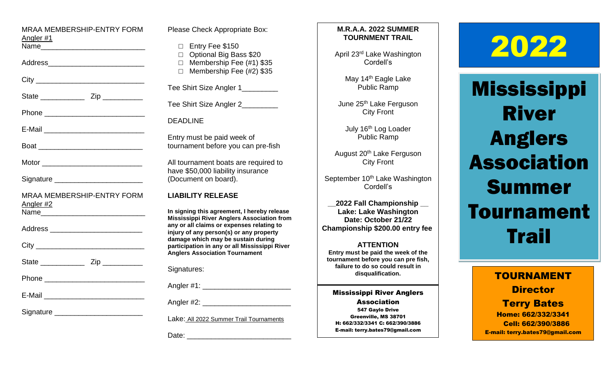| MRAA MEMBERSHIP-ENTRY FORM<br>Angler #1<br>Name_________________________________     |
|--------------------------------------------------------------------------------------|
| Address__________________________                                                    |
|                                                                                      |
|                                                                                      |
|                                                                                      |
|                                                                                      |
|                                                                                      |
| Motor ________________________________                                               |
| Signature __________________________                                                 |
| MRAA MEMBERSHIP-ENTRY FORM<br>Angler #2<br>Name <b>_____________________________</b> |
| Address ____________________________                                                 |
|                                                                                      |
|                                                                                      |
|                                                                                      |
|                                                                                      |
| Signature ____________________________                                               |

| Please Check Appropriate Box:                                                                                                                                                                                                                                                                                            |  |  |
|--------------------------------------------------------------------------------------------------------------------------------------------------------------------------------------------------------------------------------------------------------------------------------------------------------------------------|--|--|
| Entry Fee \$150<br>$\Box$<br>$\Box$<br>Optional Big Bass \$20<br>Membership Fee (#1) \$35<br>$\Box$<br>Membership Fee (#2) \$35<br>$\Box$                                                                                                                                                                                |  |  |
| Tee Shirt Size Angler 1_________                                                                                                                                                                                                                                                                                         |  |  |
| Tee Shirt Size Angler 2__________                                                                                                                                                                                                                                                                                        |  |  |
| <b>DEADLINE</b>                                                                                                                                                                                                                                                                                                          |  |  |
| Entry must be paid week of<br>tournament before you can pre-fish                                                                                                                                                                                                                                                         |  |  |
| All tournament boats are required to<br>have \$50,000 liability insurance<br>(Document on board).                                                                                                                                                                                                                        |  |  |
| <b>LIABILITY RELEASE</b>                                                                                                                                                                                                                                                                                                 |  |  |
| In signing this agreement, I hereby release<br><b>Mississippi River Anglers Association from</b><br>any or all claims or expenses relating to<br>injury of any person(s) or any property<br>damage which may be sustain during<br>participation in any or all Mississippi River<br><b>Anglers Association Tournament</b> |  |  |
| Signatures:                                                                                                                                                                                                                                                                                                              |  |  |
| Angler #1: _____________                                                                                                                                                                                                                                                                                                 |  |  |
|                                                                                                                                                                                                                                                                                                                          |  |  |

Lake: All 2022 Summer Trail Tournaments

Date:  $\Box$ 

## **M.R.A.A. 2022 SUMMER TOURNMENT TRAIL**

April 23rd Lake Washington Cordell's

> May 14<sup>th</sup> Eagle Lake Public Ramp

June 25<sup>th</sup> Lake Ferguson City Front

> July 16<sup>th</sup> Log Loader Public Ramp

August 20<sup>th</sup> Lake Ferguson City Front

September 10<sup>th</sup> Lake Washington Cordell's

**\_\_2022 Fall Championship \_\_ Lake: Lake Washington Date: October 21/22 Championship \$200.00 entry fee**

**ATTENTION Entry must be paid the week of the tournament before you can pre fish, failure to do so could result in disqualification.**

Mississippi River Anglers Association 547 Gaylo Drive Greenville, MS 38701 H: 662/332/3341 C: 662/390/3886 E-mail: terry.bates79@gmail.com

# 2022

**Mississippi** River Anglers Association Summer Tournament **Trail** 

> TOURNAMENT **Director** Terry Bates Home: 662/332/3341 Cell: 662/390/3886 E-mail: terry.bates79@gmail.com